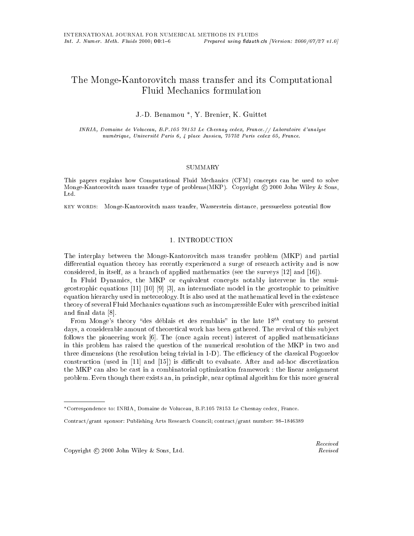# The Monge-Kantorovitch mass transfer and its Computational

J.-D. Benamou –, Y. Brenier, K. Guittet

INRIA, Domaine de Voluceau, B.P.105 78153 Le Chesnay cedex, France.// Laboratoire d'analyse numerique, Universite Paris 6, 4 place Jussieu, 75752 Paris cedex 05, France.

#### SUMMARY

This papers explains how Computational Fluid Mechanics (CFM) concepts can be used to solve Monge-Kantorovitch mass transfer type of problems  $(MKP)$ . Copyright  $\odot$  2000 John Wiley & Sons,  $Ltd.$ 

KEY WORDS: Monge-Kantorovitch mass tranfer, Wasserstein distance, pressureless potential flow

# 1. INTRODUCTION

The interplay between the Monge-Kantorovitch mass transfer problem (MKP) and partial differential equation theory has recently experienced a surge of research activity and is now considered, in itself, as a branch of applied mathematics (see the surveys [12] and [16]).

In Fluid Dynamics, the MKP or equivalent concepts notably intervene in the semigeostrophic equations [11] [10] [9] [3], an intermediate model in the geostrophic to primitive equation hierarchy used in meteorology. It is also used at the mathematical level in the existence theory of several Fluid Mechanics equations such as incompressible Euler with prescribed initial and final data [8].

From Monge's theory "des déblais et des remblais" in the late  $18^{th}$  century to present days, a considerable amount of theoretical work has been gathered. The revival of this subject follows the pioneering work [6]. The (once again recent) interest of applied mathematicians in this problem has raised the question of the numerical resolution of the MKP in two and three dimensions (the resolution being trivial in  $1-D$ ). The efficiency of the classical Pogorelov construction (used in  $[11]$  and  $[15]$ ) is difficult to evaluate. After and ad-hoc discretization the MKP can also be cast in a combinatorial optimization framework : the linear assignment problem. Even though there exists an, in principle, near optimal algorithm for this more general

Copyright  $\odot$  2000 John Wiley & Sons, Ltd.

Correspondence to: INRIA, Domaine de Voluceau, B.P.105 78153 Le Chesnay cedex, France.

Contract/grant sponsor: Publishing Arts Research Council; contract/grant number: 98-1846389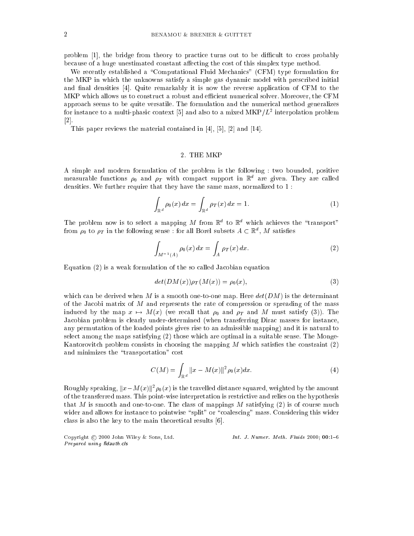problem  $[1]$ , the bridge from theory to practice turns out to be difficult to cross probably because of a huge unestimated constant affecting the cost of this simplex type method.

We recently established a "Computational Fluid Mechanics" (CFM) type formulation for the MKP in which the unknowns satisfy a simple gas dynamic model with prescribed initial and final densities  $[4]$ . Quite remarkably it is now the reverse application of CFM to the MKP which allows us to construct a robust and efficient numerical solver. Moreover, the CFM approach seems to be quite versatile. The formulation and the numerical method generalizes for instance to a multi-phasic context [5] and also to a mixed  $\text{MKP}/L^2$  interpolation problem [2].

This paper reviews the material contained in [4], [5], [2] and [14].

#### 2. THE MKP

A simple and modern formulation of the problem is the following : two bounded, positive measurable functions  $\rho_0$  and  $\rho_T$  with compact support in  $\mathbb{R}^d$  are given. They are called densities. We further require that they have the same mass, normalized to 1 :

$$
\int_{\mathbb{R}^d} \rho_0(x) dx = \int_{\mathbb{R}^d} \rho_T(x) dx = 1.
$$
\n(1)

The problem now is to select a mapping M from  $\mathbb{R}^d$  to  $\mathbb{R}^d$  which achieves the "transport" from  $\rho_0$  to  $\rho_T$  in the following sense : for all Borel subsets  $A \subset \mathbb{R}^d, \ M$  satisfies

$$
\int_{M^{-1}(A)} \rho_0(x) \, dx = \int_A \rho_T(x) \, dx. \tag{2}
$$

Equation (2) is a weak formulation of the so called Jacobian equation

$$
det(DM(x))\rho_T(M(x)) = \rho_0(x),\tag{3}
$$

which can be derived when M is a smooth one-to-one map. Here  $det(DM)$  is the determinant of the Jacobi matrix of  $M$  and represents the rate of compression or spreading of the mass induced by the map  $x \mapsto M(x)$  (we recall that  $\rho_0$  and  $\rho_T$  and M must satisfy (3)). The Jacobian problem is clearly under-determined (when transferring Dirac masses for instance, any permutation of the loaded points gives rise to an admissible mapping) and it is natural to select among the maps satisfying (2) those which are optimal in a suitable sense. The Monge-Kantorovitch problem consists in choosing the mapping M which satisfies the constraint  $(2)$ and minimizes the "transportation" cost

$$
C(M) = \int_{\mathbb{R}^d} \|x - M(x)\|^2 \rho_0(x) dx.
$$
 (4)

Roughly speaking,  $||x-M(x)||^2 \rho_0(x)$  is the travelled distance squared, weighted by the amount of the transferred mass. This point-wise interpretation is restrictive and relies on the hypothesis that M is smooth and one-to-one. The class of mappings M satisfying  $(2)$  is of course much wider and allows for instance to pointwise "split" or "coalescing" mass. Considering this wider class is also the key to the main theoretical results [6].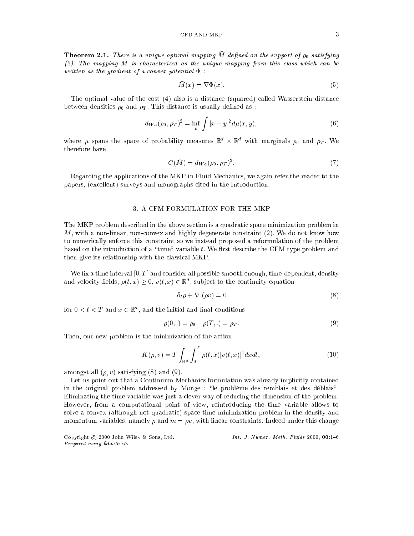**Theorem 2.1.** There is a unique optimal mapping  $\overline{M}$  defined on the support of  $\rho_0$  satisfying (2). The mapping M is characterized as the unique mapping from this class which can be written as the gradient of a convex potential  $\Phi$ :

$$
\bar{M}(x) = \nabla \Phi(x). \tag{5}
$$

The optimal value of the cost (4) also is a distance (squared) called Wasserstein distance between densities  $\rho_0$  and  $\rho_T$ . This distance is usually defined as :

$$
d_{Wa}(\rho_0, \rho_T)^2 = \inf_{\mu} \int |x - y|^2 d\mu(x, y), \tag{6}
$$

where  $\mu$  spans the space of probability measures  $\mathbb{R}^d \times \mathbb{R}^d$  with marginals  $\rho_0$  and  $\rho_T$ . We therefore have

$$
C(\bar{M}) = d_{Wa}(\rho_0, \rho_T)^2. \tag{7}
$$

Regarding the applications of the MKP in Fluid Mechanics, we again refer the reader to the papers, (excellent) surveys and monographs cited in the Introduction.

## 3. A CFM FORMULATION FOR THE MKP

The MKP problem described in the above section is a quadratic space minimization problem in  $M$ , with a non-linear, non-convex and highly degenerate constraint  $(2)$ . We do not know how to numerically enforce this constraint so we instead proposed a reformulation of the problem based on the introduction of a "time" variable  $t$ . We first describe the CFM type problem and then give its relationship with the classical MKP.

We fix a time interval  $[0, T]$  and consider all possible smooth enough, time-dependent, density and velocity fields,  $\rho(t, x) \geq 0$ ,  $v(t, x) \in \mathbb{R}^d$ , subject to the continuity equation

$$
\partial_t \rho + \nabla \phi(\rho v) = 0 \tag{8}
$$

for  $0 < t < T$  and  $x \in \mathbb{R}^d$ , and the initial and final conditions

$$
\rho(0,.) = \rho_0, \quad \rho(T,.) = \rho_T. \tag{9}
$$

Then, our new problem is the minimization of the action

$$
K(\rho, v) = T \int_{\mathbb{R}^d} \int_0^T \rho(t, x) |v(t, x)|^2 dx dt,
$$
\n(10)

amongst all  $(\rho, v)$  satisfying  $(8)$  and  $(9)$ .

Let us point out that a Continuum Mechanics formulation was already implicitly contained in the original problem addressed by Monge : "le problème des remblais et des déblais". Eliminating the time variable was just a clever way of reducing the dimension of the problem. However, from a computational point of view, reintroducing the time variable allows to solve a convex (although not quadratic) space-time minimization problem in the density and momentum variables, namely  $\rho$  and  $m = \rho v$ , with linear constraints. Indeed under this change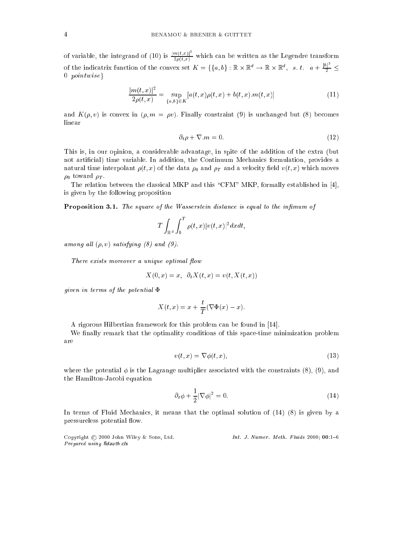of variable, the integrand of (10) is  $\frac{|m(t,x)|^2}{2\rho(t,x)}$  which can be written as the Legendre transform of the indicatrix function of the convex set  $K = \{\{a,b\} : \mathbb{R} \times \mathbb{R}^d \to \mathbb{R} \times \mathbb{R}^d, \ s. \ t. \ a + \frac{|b|^2}{2} \leq \frac{1}{2}$ 0  $pointwise$ 

$$
\frac{|m(t,x)|^2}{2\rho(t,x)} = \sup_{\{a,b\} \in K} [a(t,x)\rho(t,x) + b(t,x).m(t,x)] \tag{11}
$$

and  $K(\rho, v)$  is convex in  $(\rho, m = \rho v)$ . Finally constraint (9) is unchanged but (8) becomes linear

$$
\partial_t \rho + \nabla \cdot m = 0. \tag{12}
$$

This is, in our opinion, a considerable advantage, in spite of the addition of the extra (but not articial) time variable. In addition, the Continuum Mechanics formulation, provides a natural time interpolant  $\rho(t, x)$  of the data  $\rho_0$  and  $\rho_T$  and a velocity field  $v(t, x)$  which moves  $\rho_0$  toward  $\rho_T$ .

The relation between the classical MKP and this "CFM" MKP, formally established in [4], is given by the following proposition

**Proposition 3.1.** The square of the Wasserstein distance is equal to the infimum of

$$
T\int_{\mathbb{R}^d}\int_0^T \rho(t,x)|v(t,x)|^2 dxdt,
$$

among all  $(\rho, v)$  satisfying (8) and (9).

There exists moreover a unique optimal flow

$$
X(0, x) = x, \ \partial_t X(t, x) = v(t, X(t, x))
$$

given in terms of the potential  $\Phi$ 

$$
X(t,x) = x + \frac{t}{T}(\nabla \Phi(x) - x).
$$

A rigorous Hilbertian framework for this problem can be found in [14].

We finally remark that the optimality conditions of this space-time minimization problem are

$$
v(t,x) = \nabla \phi(t,x),\tag{13}
$$

where the potential  $\phi$  is the Lagrange multiplier associated with the constraints (8), (9), and the Hamilton-Jacobi equation

$$
\partial_t \phi + \frac{1}{2} |\nabla \phi|^2 = 0. \tag{14}
$$

In terms of Fluid Mechanics, it means that the optimal solution of (14) (8) is given by a pressureless potential flow.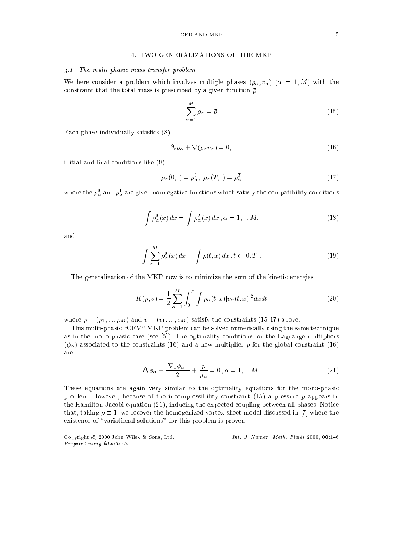## CFD AND MKP  $5$

## 4. TWO GENERALIZATIONS OF THE MKP

## 4.1. The multi-phasic mass transfer problem

We here consider a problem which involves multiple phases  $(\rho_{\alpha}, v_{\alpha})$  ( $\alpha = 1, M$ ) with the constraint that the total mass is prescribed by a given function  $\bar{\rho}$ 

$$
\sum_{\alpha=1}^{M} \rho_{\alpha} = \bar{\rho} \tag{15}
$$

Each phase individually satisfies  $(8)$ 

$$
\partial_t \rho_\alpha + \nabla (\rho_\alpha v_\alpha) = 0, \tag{16}
$$

initial and final conditions like  $(9)$ 

$$
\rho_{\alpha}(0,.) = \rho_{\alpha}^0, \ \rho_{\alpha}(T,.) = \rho_{\alpha}^T \tag{17}
$$

where the  $\rho_\alpha^\circ$  and  $\rho_\alpha^\star$  are given nonnegative functions which satisfy the compatibility conditions

$$
\int \rho_{\alpha}^{0}(x) dx = \int \rho_{\alpha}^{T}(x) dx, \alpha = 1, ..., M.
$$
\n(18)

$$
\int \sum_{\alpha=1}^{M} \rho_{\alpha}^{0}(x) dx = \int \bar{\rho}(t, x) dx, t \in [0, T].
$$
\n(19)

The generalization of the MKP now is to minimize the sum of the kinetic energies

$$
K(\rho, v) = \frac{1}{2} \sum_{\alpha=1}^{M} \int_{0}^{T} \int \rho_{\alpha}(t, x) |v_{\alpha}(t, x)|^{2} dx dt
$$
\n(20)

where  $\rho = (\rho_1, ..., \rho_M)$  and  $v = (v_1, ..., v_M)$  satisfy the constraints (15-17) above.

This multi-phasic "CFM" MKP problem can be solved numerically using the same technique as in the mono-phasic case (see [5]). The optimality conditions for the Lagrange multipliers  $(\phi_{\alpha})$  associated to the constraints (16) and a new multiplier p for the global constraint (16) are

$$
\partial_t \phi_\alpha + \frac{|\nabla_x \phi_\alpha|^2}{2} + \frac{p}{\mu_\alpha} = 0, \alpha = 1, ..., M. \tag{21}
$$

These equations are again very similar to the optimality equations for the mono-phasic problem. However, because of the incompressibility constraint  $(15)$  a pressure p appears in the Hamilton-Jacobi equation (21), inducing the expected coupling between all phases. Notice that, taking  $\bar{\rho} \equiv 1$ , we recover the homogenized vortex-sheet model discussed in [7] where the existence of "variational solutions" for this problem is proven.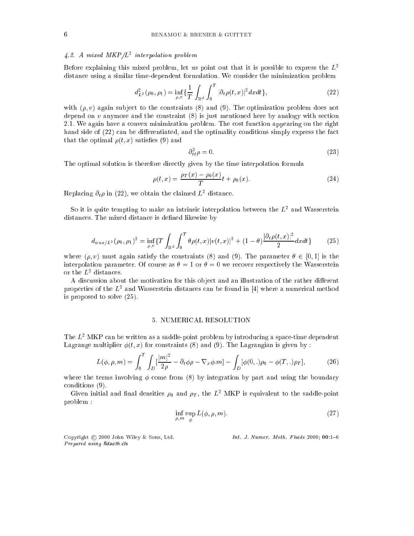#### 4.2. A mixed MKP/L2 interpolation problem

Before explaining this mixed problem, let us point out that it is possible to express the  $L^2$ distance using a similar time-dependent formulation. We consider the minimization problem

$$
d_{L^2}^2(\rho_0, \rho_1) = \inf_{\rho, v} \{ \frac{1}{T} \int_{\mathbb{R}^d} \int_0^T |\partial_t \rho(t, x)|^2 dx dt \},
$$
\n(22)

with  $(\rho, v)$  again subject to the constraints (8) and (9). The optimization problem does not depend on  $v$  anymore and the constraint  $(8)$  is just mentioned here by analogy with section 2.1. We again have a convex minimization problem. The cost function appearing on the right hand side of (22) can be differentiated, and the optimality conditions simply express the fact that the optimal  $\rho(t, x)$  satisfies (9) and

$$
\partial_{tt}^2 \rho = 0. \tag{23}
$$

The optimal solution is therefore directly given by the time interpolation formula

$$
\rho(t,x) = \frac{\rho_T(x) - \rho_0(x)}{T}t + \rho_0(x).
$$
\n(24)

Replacing  $\partial_t \rho$  in (22), we obtain the claimed  $L^2$  distance.

So it is quite tempting to make an intrinsic interpolation between the  $L^2$  and Wasserstein distances. The mixed distance is defined likewise by

$$
d_{was/L^2}(\rho_0, \rho_1)^2 = \inf_{\rho, v} \{ T \int_{\mathbb{R}^d} \int_0^T \theta \rho(t, x) |v(t, x)|^2 + (1 - \theta) \frac{|\partial_t \rho(t, x)|^2}{2} dx dt \}
$$
(25)

where  $(\rho, v)$  must again satisfy the constraints (8) and (9). The parameter  $\theta \in [0, 1]$  is the interpolation parameter. Of course as  $\theta = 1$  or  $\theta = 0$  we recover respectively the Wasserstein or the  $L^2$  distances.

A discussion about the motivation for this object and an illustration of the rather different properties of the  $L^2$  and Wasserstein distances can be found in  $|4|$  where a numerical method is proposed to solve (25).

# 5. NUMERICAL RESOLUTION

The  $L^2$  MKP can be written as a saddle-point problem by introducing a space-time dependent Lagrange multiplier  $\phi(t, x)$  for constraints (8) and (9). The Lagrangian is given by :

$$
L(\phi, \rho, m) = \int_0^T \int_D \left[\frac{|m|^2}{2\rho} - \partial_t \phi \rho - \nabla_x \phi \cdot m\right] - \int_D [\phi(0,.)\rho_0 - \phi(T,.)\rho_T],\tag{26}
$$

where the terms involving  $\phi$  come from (8) by integration by part and using the boundary conditions (9).

Given initial and final densities  $\rho_0$  and  $\rho_T$ , the  $L^2$  MKP is equivalent to the saddle-point problem :

$$
\inf_{\rho,m} \sup_{\phi} L(\phi,\rho,m). \tag{27}
$$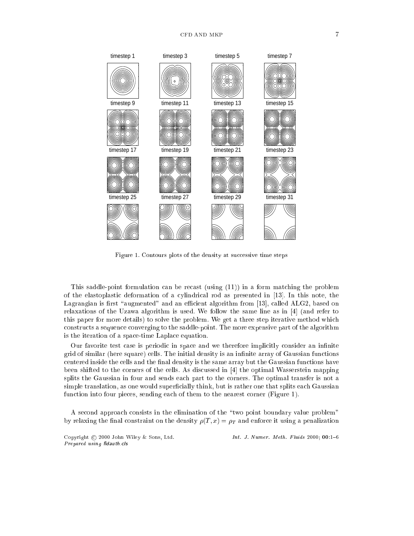

Figure 1. Contours plots of the density at successive time steps

This saddle-point formulation can be recast (using (11)) in a form matching the problem of the elastoplastic deformation of a cylindrical rod as presented in [13]. In this note, the Lagrangian is first "augmented" and an efficient algorithm from  $[13]$ , called ALG2, based on relaxations of the Uzawa algorithm is used. We follow the same line as in [4] (and refer to this paper for more details) to solve the problem. We get a three step iterative method which constructs a sequence converging to the saddle-point. The more expensive part of the algorithm is the iteration of a space-time Laplace equation.

Our favorite test case is periodic in space and we therefore implicitly consider an infinite grid of similar (here square) cells. The initial density is an infinite array of Gaussian functions centered inside the cells and the final density is the same array but the Gaussian functions have been shifted to the corners of the cells. As discussed in [4] the optimal Wasserstein mapping splits the Gaussian in four and sends each part to the corners. The optimal transfer is not a simple translation, as one would superficially think, but is rather one that splits each Gaussian function into four pieces, sending each of them to the nearest corner (Figure 1).

A second approach consists in the elimination of the \two point boundary value problem" by relaxing the final constraint on the density  $\rho(T,x) = \rho_T$  and enforce it using a penalization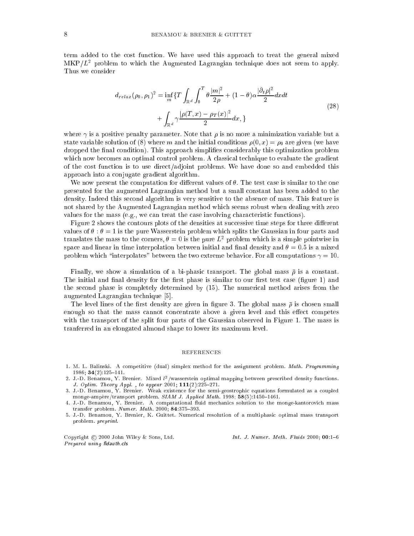term added to the cost function. We have used this approach to treat the general mixed  $\rm MKP/L^{2}$  problem to which the Augmented Lagrangian technique does not seem to apply. Thus we consider

$$
d_{relax}(\rho_0, \rho_1)^2 = \inf_m \{ T \int_{\mathbb{R}^d} \int_0^T \theta \frac{|m|^2}{2\rho} + (1 - \theta) \alpha \frac{|\partial_t \rho|^2}{2} dx dt
$$
  
+ 
$$
\int_{\mathbb{R}^d} \gamma \frac{|\rho(T, x) - \rho_T(x)|^2}{2} dx, \}
$$
 (28)

where  $\gamma$  is a positive penalty parameter. Note that  $\rho$  is no more a minimization variable but a state variable solution of (8) where m and the initial conditions  $\rho(0, x) = \rho_0$  are given (we have dropped the final condition). This approach simplifies considerably this optimization problem which now becomes an optimal control problem. A classical technique to evaluate the gradient of the cost function is to use direct/adjoint problems. We have done so and embedded this approach into a conjugate gradient algorithm.

We now present the computation for different values of  $\theta$ . The test case is similar to the one presented for the augmented Lagrangian method but a small constant has been added to the density. Indeed this second algorithm is very sensitive to the absence of mass. This feature is not shared by the Augmented Lagrangian method which seems robust when dealing with zero values for the mass (e.g., we can treat the case involving characteristic functions).

Figure 2 shows the contours plots of the densities at successive time steps for three different values of  $\theta$ :  $\theta = 1$  is the pure Wasserstein problem which splits the Gaussian in four parts and translates the mass to the corners,  $\theta = 0$  is the pure  $L^2$  problem which is a simple pointwise in space and linear in time interpolation between initial and final density and  $\theta = 0.5$  is a mixed problem which "interpolates" between the two extreme behavior. For all computations  $\gamma = 10$ .

Finally, we show a simulation of a bi-phasic transport. The global mass  $\bar{\rho}$  is a constant. The initial and final density for the first phase is similar to our first test case (figure 1) and the second phase is completely determined by (15). The numerical method arises from the augmented Lagrangian technique [5].

The level lines of the first density are given in figure 3. The global mass  $\bar{\rho}$  is chosen small enough so that the mass cannot concentrate above a given level and this effect competes with the transport of the split four parts of the Gaussian observed in Figure 1. The mass is tranferred in an elongated almond shape to lower its maximum level.

#### **REFERENCES**

- 1. M. L. Balinski. A competitive (dual) simplex method for the assignment problem. Math. Programming 1986; 34(2):125-141.
- 2. J.-D. Benamou, Y. Brenier. Mixed <sup>l</sup> <sup>2</sup> /wasserstein optimal mapping between prescribed density functions. J. Optim. Theory Appl., to appear 2001;  $111(2):225-271$ .
- 3. J.-D. Benamou, Y. Brenier. Weak existence for the semi-geostrophic equations formulated as a coupled monge-ampere/transport problem.  $SIAM$  J. Applied Math. 1998; 58(5):1450-1461.
- 4. J.-D. Benamou, Y. Brenier. A computational fluid mechanics solution to the monge-kantorovich mass transfer problem.  $Number. Math. 2000; 84:375-393.$
- 5. J.-D. Benamou, Y. Brenier, K. Guittet. Numerical resolution of a multiphasic optimal mass transport problem. preprint.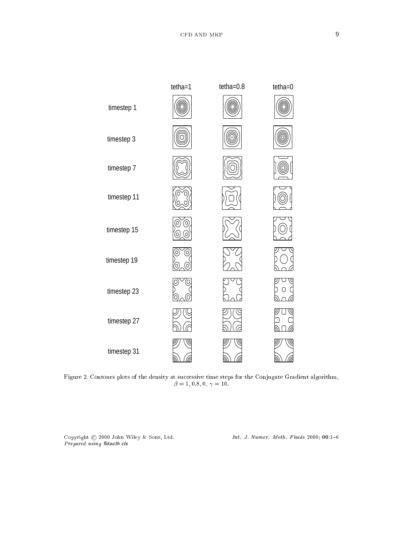

Figure 2. Contours plots of the density at successive time steps for the Conjugate Gradient algorithm,  $\beta = 1, 0.8, 0,$   $\gamma = 10.$